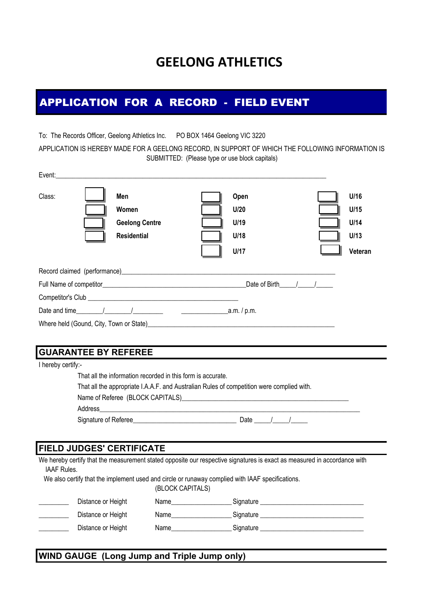# **GEELONG ATHLETICS**

## APPLICATION FOR A RECORD - FIELD EVENT

To: The Records Officer, Geelong Athletics Inc. PO BOX 1464 Geelong VIC 3220 APPLICATION IS HEREBY MADE FOR A GEELONG RECORD, IN SUPPORT OF WHICH THE FOLLOWING INFORMATION IS SUBMITTED: (Please type or use block capitals)

| Class:                                  | Men<br>Women<br><b>Geelong Centre</b><br><b>Residential</b> | Open<br>U/20<br>U/19<br>U/18<br>U/17                                                                                                                                                                                           |  | U/16<br>U/15<br>U/14<br>U/13<br>Veteran |  |
|-----------------------------------------|-------------------------------------------------------------|--------------------------------------------------------------------------------------------------------------------------------------------------------------------------------------------------------------------------------|--|-----------------------------------------|--|
|                                         |                                                             | Record claimed (performance) example and the contract of the contract of the contract of the contract of the contract of the contract of the contract of the contract of the contract of the contract of the contract of the c |  |                                         |  |
|                                         |                                                             | Date of Birth / /                                                                                                                                                                                                              |  |                                         |  |
|                                         |                                                             |                                                                                                                                                                                                                                |  |                                         |  |
| _a.m. / p.m.                            |                                                             |                                                                                                                                                                                                                                |  |                                         |  |
| Where held (Gound, City, Town or State) |                                                             |                                                                                                                                                                                                                                |  |                                         |  |

#### **GUARANTEE BY REFEREE**

I hereby certify:-

|                                                                      | That all the appropriate I.A.A.F. and Australian Rules of competition were complied with. |
|----------------------------------------------------------------------|-------------------------------------------------------------------------------------------|
|                                                                      | Name of Referee (BLOCK CAPITALS) Name of Referee (BLOCK CAPITALS)                         |
| Address<br><u> 1989 - John Stone, Amerikaansk politiker (* 1918)</u> |                                                                                           |
| Signature of Referee                                                 | Date $\frac{1}{\sqrt{2}}$                                                                 |

#### **FIELD JUDGES' CERTIFICATE**

| We hereby certify that the measurement stated opposite our respective signatures is exact as measured in accordance with |
|--------------------------------------------------------------------------------------------------------------------------|
| IAAF Rules.                                                                                                              |
| We also certify that the implement used and circle or runaway complied with IAAF specifications.                         |
| (BLOCK CAPITALS)                                                                                                         |

| Distance or Height | Name | Signature |
|--------------------|------|-----------|
| Distance or Height | Name | Signature |
| Distance or Height | Name | Signature |
|                    |      |           |

#### **WIND GAUGE (Long Jump and Triple Jump only)**